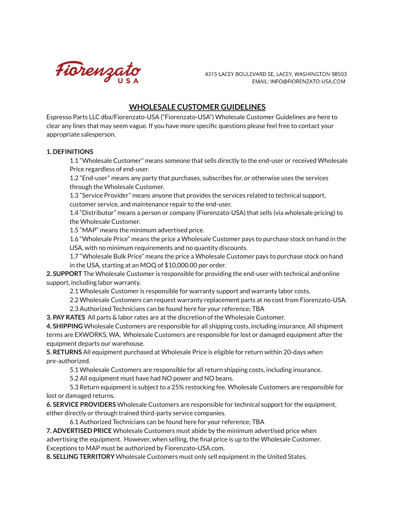

4315 LACEY BOULEVARD SE, LACEY, WASHINGTON 98503 EMAIL: INFO@FIORENZATO-USA.COM

## **WHOLESALE CUSTOMER GUIDELINES**

Espresso Parts LLC dba/Fiorenzato-USA ("Fiorenzato-USA") Wholesale Customer Guidelines are here to clear any lines that may seem vague. If you have more specific questions please feel free to contact your appropriate salesperson.

## **1. DEFINITIONS**

1.1 "Wholesale Customer" means someone that sells directly to the end-user or received Wholesale Price regardless of end-user.

1.2 "End-user" means any party that purchases, subscribes for, or otherwise uses the services through the Wholesale Customer.

1.3 "Service Provider" means anyone that provides the services related to technical support, customer service, and maintenance repair to the end-user.

1.4 "Distributor" means a person or company (Fiorenzato-USA) that sells (via wholesale pricing) to the Wholesale Customer.

1.5 "MAP" means the minimum advertised price.

1.6 "Wholesale Price" means the price a Wholesale Customer pays to purchase stock on hand in the USA, with no minimum requirements and no quantity discounts.

1.7 "Wholesale Bulk Price" means the price a Wholesale Customer pays to purchase stock on hand in the USA, starting at an MOQ of \$10,000.00 per order.

**2. SUPPORT** The Wholesale Customer is responsible for providing the end-user with technical and online support, including labor warranty.

2.1 Wholesale Customer is responsible for warranty support and warranty labor costs.

2.2 Wholesale Customers can request warranty replacement parts at no cost from Fiorenzato-USA.

2.3 Authorized Technicians can be found here for your reference; TBA

**3. PAY RATES** All parts & labor rates are at the discretion of the Wholesale Customer.

**4. SHIPPING** Wholesale Customers are responsible for all shipping costs, including insurance. All shipment terms are EXWORKS, WA. Wholesale Customers are responsible for lost or damaged equipment after the equipment departs our warehouse.

**5. RETURNS** All equipment purchased at Wholesale Price is eligible for return within 20-days when pre-authorized.

5.1 Wholesale Customers are responsible for all return shipping costs, including insurance.

5.2 All equipment must have had NO power and NO beans.

5.3 Return equipment is subject to a 25% restocking fee. Wholesale Customers are responsible for lost or damaged returns.

**6. SERVICE PROVIDERS** Wholesale Customers are responsible for technical support for the equipment, either directly or through trained third-party service companies.

6.1 Authorized Technicians can be found here for your reference; TBA

**7. ADVERTISED PRICE** Wholesale Customers must abide by the minimum advertised price when advertising the equipment. However, when selling, the final price is up to the Wholesale Customer. Exceptions to MAP must be authorized by Fiorenzato-USA.com.

**8. SELLING TERRITORY** Wholesale Customers must only sell equipment in the United States.